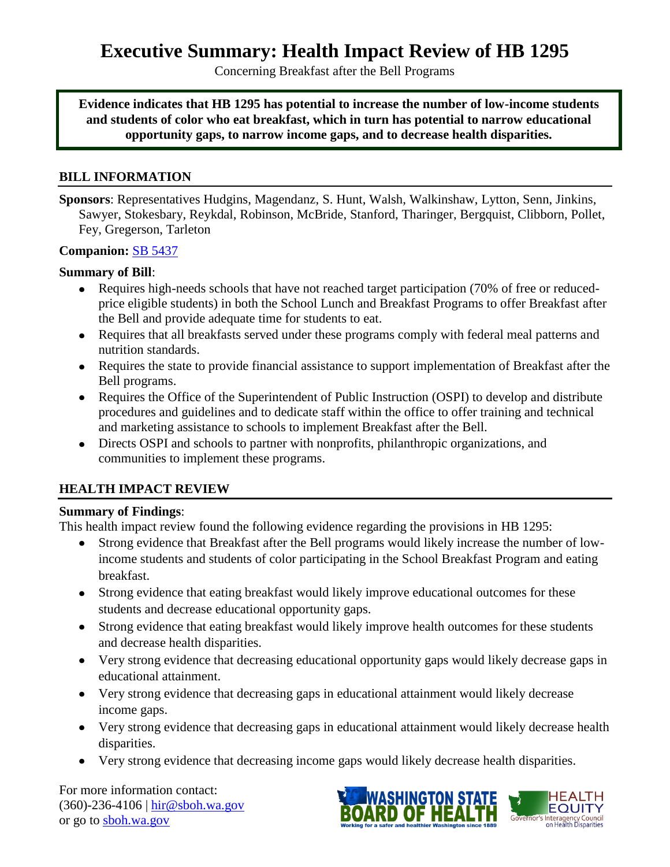**Executive Summary: Health Impact Review of HB 1295**

Concerning Breakfast after the Bell Programs

**Evidence indicates that HB 1295 has potential to increase the number of low-income students and students of color who eat breakfast, which in turn has potential to narrow educational opportunity gaps, to narrow income gaps, and to decrease health disparities.**

#### **BILL INFORMATION**

**Sponsors**: Representatives [Hudgins,](http://www.leg.wa.gov/house/representatives/pages/default.aspx#Hudgins) [Magendanz,](http://www.leg.wa.gov/house/representatives/pages/default.aspx#Magendanz) [S. Hunt,](http://www.leg.wa.gov/house/representatives/pages/default.aspx#HuntS) [Walsh,](http://www.leg.wa.gov/house/representatives/pages/default.aspx#Walsh) [Walkinshaw,](http://www.leg.wa.gov/house/representatives/pages/default.aspx#Walkinshaw) [Lytton,](http://www.leg.wa.gov/house/representatives/pages/default.aspx#Lytton) [Senn,](http://www.leg.wa.gov/house/representatives/pages/default.aspx#Senn) [Jinkins,](http://www.leg.wa.gov/house/representatives/pages/default.aspx#Jinkins) [Sawyer,](http://www.leg.wa.gov/house/representatives/pages/default.aspx#Sawyer) [Stokesbary,](http://www.leg.wa.gov/house/representatives/pages/default.aspx#Stokesbary) [Reykdal,](http://www.leg.wa.gov/house/representatives/pages/default.aspx#Reykdal) [Robinson,](http://www.leg.wa.gov/house/representatives/pages/default.aspx#Robinson) [McBride,](http://www.leg.wa.gov/house/representatives/pages/default.aspx#McBride) [Stanford,](http://www.leg.wa.gov/house/representatives/pages/default.aspx#Stanford) [Tharinger,](http://www.leg.wa.gov/house/representatives/pages/default.aspx#Tharinger) [Bergquist,](http://www.leg.wa.gov/house/representatives/pages/default.aspx#Bergquist) [Clibborn,](http://www.leg.wa.gov/house/representatives/pages/default.aspx#Clibborn) [Pollet,](http://www.leg.wa.gov/house/representatives/pages/default.aspx#Pollet) [Fey,](http://www.leg.wa.gov/house/representatives/pages/default.aspx#Fey) [Gregerson,](http://www.leg.wa.gov/house/representatives/pages/default.aspx#Gregerson) [Tarleton](http://www.leg.wa.gov/house/representatives/pages/default.aspx#Tarleton)

#### **Companion:** [SB 5437](http://app.leg.wa.gov/billinfo/summary.aspx?bill=5437&year=2015)

#### **Summary of Bill**:

- Requires high-needs schools that have not reached target participation (70% of free or reducedprice eligible students) in both the School Lunch and Breakfast Programs to offer Breakfast after the Bell and provide adequate time for students to eat.
- Requires that all breakfasts served under these programs comply with federal meal patterns and nutrition standards.
- Requires the state to provide financial assistance to support implementation of Breakfast after the Bell programs.
- Requires the Office of the Superintendent of Public Instruction (OSPI) to develop and distribute procedures and guidelines and to dedicate staff within the office to offer training and technical and marketing assistance to schools to implement Breakfast after the Bell.
- Directs OSPI and schools to partner with nonprofits, philanthropic organizations, and communities to implement these programs.

#### **HEALTH IMPACT REVIEW**

#### **Summary of Findings**:

This health impact review found the following evidence regarding the provisions in HB 1295:

- Strong evidence that Breakfast after the Bell programs would likely increase the number of lowincome students and students of color participating in the School Breakfast Program and eating breakfast.
- Strong evidence that eating breakfast would likely improve educational outcomes for these students and decrease educational opportunity gaps.
- Strong evidence that eating breakfast would likely improve health outcomes for these students and decrease health disparities.
- Very strong evidence that decreasing educational opportunity gaps would likely decrease gaps in educational attainment.
- Very strong evidence that decreasing gaps in educational attainment would likely decrease income gaps.
- Very strong evidence that decreasing gaps in educational attainment would likely decrease health disparities.
- Very strong evidence that decreasing income gaps would likely decrease health disparities.

For more information contact: (360)-236-4106 | hir@sboh.wa.gov or go to sboh.wa.gov



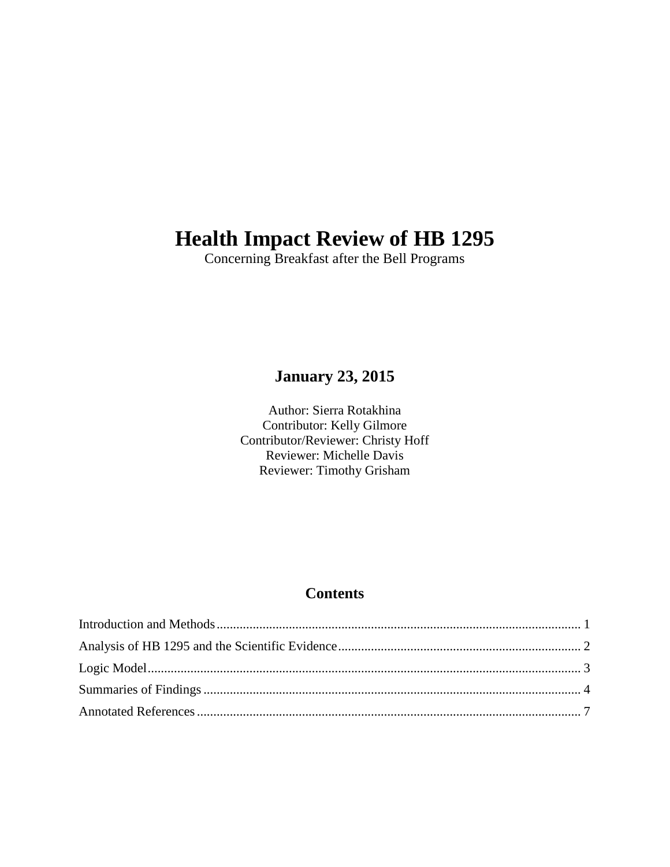# **Health Impact Review of HB 1295**

Concerning Breakfast after the Bell Programs

## **January 23, 2015**

Author: Sierra Rotakhina Contributor: Kelly Gilmore Contributor/Reviewer: Christy Hoff Reviewer: Michelle Davis Reviewer: Timothy Grisham

## **Contents**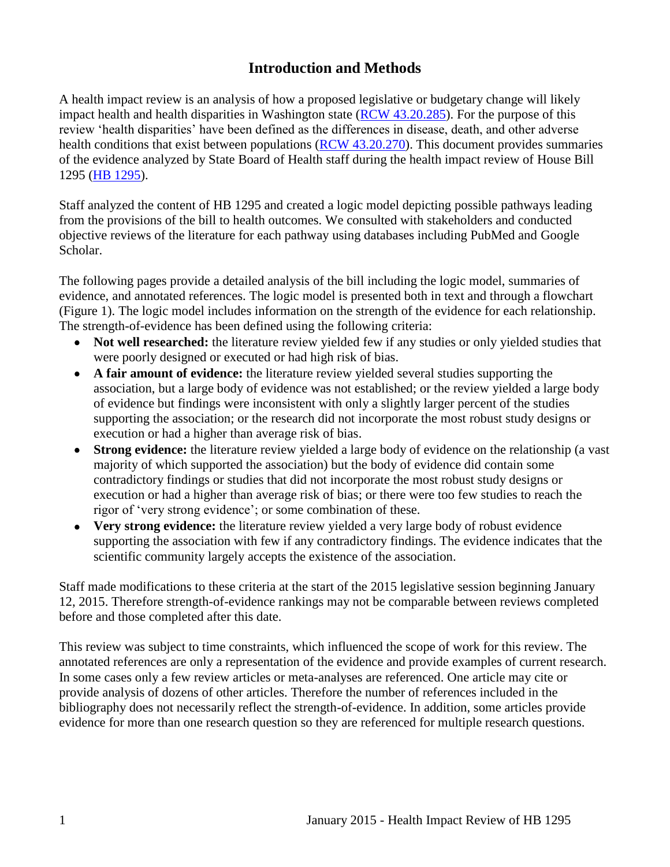## **Introduction and Methods**

<span id="page-2-0"></span>A health impact review is an analysis of how a proposed legislative or budgetary change will likely impact health and health disparities in Washington state [\(RCW 43.20.285\)](http://apps.leg.wa.gov/rcw/default.aspx?cite=43.20.285). For the purpose of this review 'health disparities' have been defined as the differences in disease, death, and other adverse health conditions that exist between populations [\(RCW 43.20.270\)](http://apps.leg.wa.gov/rcw/default.aspx?cite=43.20.270). This document provides summaries of the evidence analyzed by State Board of Health staff during the health impact review of House Bill 1295 [\(HB 1295\)](http://app.leg.wa.gov/billinfo/summary.aspx?bill=1295&year=2015).

Staff analyzed the content of HB 1295 and created a logic model depicting possible pathways leading from the provisions of the bill to health outcomes. We consulted with stakeholders and conducted objective reviews of the literature for each pathway using databases including PubMed and Google Scholar.

The following pages provide a detailed analysis of the bill including the logic model, summaries of evidence, and annotated references. The logic model is presented both in text and through a flowchart (Figure 1). The logic model includes information on the strength of the evidence for each relationship. The strength-of-evidence has been defined using the following criteria:

- Not well researched: the literature review yielded few if any studies or only yielded studies that were poorly designed or executed or had high risk of bias.
- **A fair amount of evidence:** the literature review yielded several studies supporting the association, but a large body of evidence was not established; or the review yielded a large body of evidence but findings were inconsistent with only a slightly larger percent of the studies supporting the association; or the research did not incorporate the most robust study designs or execution or had a higher than average risk of bias.
- **Strong evidence:** the literature review yielded a large body of evidence on the relationship (a vast majority of which supported the association) but the body of evidence did contain some contradictory findings or studies that did not incorporate the most robust study designs or execution or had a higher than average risk of bias; or there were too few studies to reach the rigor of 'very strong evidence'; or some combination of these.
- **Very strong evidence:** the literature review yielded a very large body of robust evidence supporting the association with few if any contradictory findings. The evidence indicates that the scientific community largely accepts the existence of the association.

Staff made modifications to these criteria at the start of the 2015 legislative session beginning January 12, 2015. Therefore strength-of-evidence rankings may not be comparable between reviews completed before and those completed after this date.

This review was subject to time constraints, which influenced the scope of work for this review. The annotated references are only a representation of the evidence and provide examples of current research. In some cases only a few review articles or meta-analyses are referenced. One article may cite or provide analysis of dozens of other articles. Therefore the number of references included in the bibliography does not necessarily reflect the strength-of-evidence. In addition, some articles provide evidence for more than one research question so they are referenced for multiple research questions.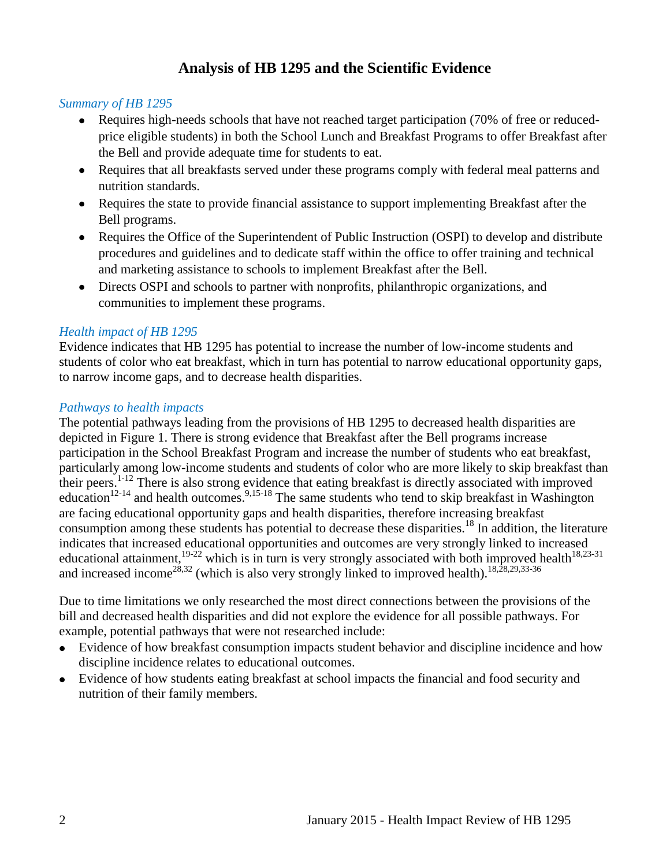## **Analysis of HB 1295 and the Scientific Evidence**

#### <span id="page-3-0"></span>*Summary of HB 1295*

- Requires high-needs schools that have not reached target participation (70% of free or reducedprice eligible students) in both the School Lunch and Breakfast Programs to offer Breakfast after the Bell and provide adequate time for students to eat.
- Requires that all breakfasts served under these programs comply with federal meal patterns and nutrition standards.
- Requires the state to provide financial assistance to support implementing Breakfast after the Bell programs.
- Requires the Office of the Superintendent of Public Instruction (OSPI) to develop and distribute procedures and guidelines and to dedicate staff within the office to offer training and technical and marketing assistance to schools to implement Breakfast after the Bell.
- Directs OSPI and schools to partner with nonprofits, philanthropic organizations, and communities to implement these programs.

#### *Health impact of HB 1295*

Evidence indicates that HB 1295 has potential to increase the number of low-income students and students of color who eat breakfast, which in turn has potential to narrow educational opportunity gaps, to narrow income gaps, and to decrease health disparities.

#### *Pathways to health impacts*

The potential pathways leading from the provisions of HB 1295 to decreased health disparities are depicted in Figure 1. There is strong evidence that Breakfast after the Bell programs increase participation in the School Breakfast Program and increase the number of students who eat breakfast, particularly among low-income students and students of color who are more likely to skip breakfast than their peers.<sup>[1-12](#page-8-1)</sup> There is also strong evidence that eating breakfast is directly associated with improved education<sup>[12-14](#page-11-0)</sup> and health outcomes.<sup>[9](#page-10-0)[,15-18](#page-13-0)</sup> The same students who tend to skip breakfast in Washington are facing educational opportunity gaps and health disparities, therefore increasing breakfast consumption among these students has potential to decrease these disparities.<sup>[18](#page-14-0)</sup> In addition, the literature indicates that increased educational opportunities and outcomes are very strongly linked to increased educational attainment, $19-22$  which is in turn is very strongly associated with both improved health<sup>[18,](#page-14-0)[23-31](#page-15-1)</sup> and increased income<sup>[28,](#page-16-0)[32](#page-17-0)</sup> (which is also very strongly linked to improved health).<sup>[18](#page-14-0)[,28,](#page-16-0)[29](#page-17-1)[,33-36](#page-17-2)</sup>

Due to time limitations we only researched the most direct connections between the provisions of the bill and decreased health disparities and did not explore the evidence for all possible pathways. For example, potential pathways that were not researched include:

- Evidence of how breakfast consumption impacts student behavior and discipline incidence and how discipline incidence relates to educational outcomes.
- Evidence of how students eating breakfast at school impacts the financial and food security and nutrition of their family members.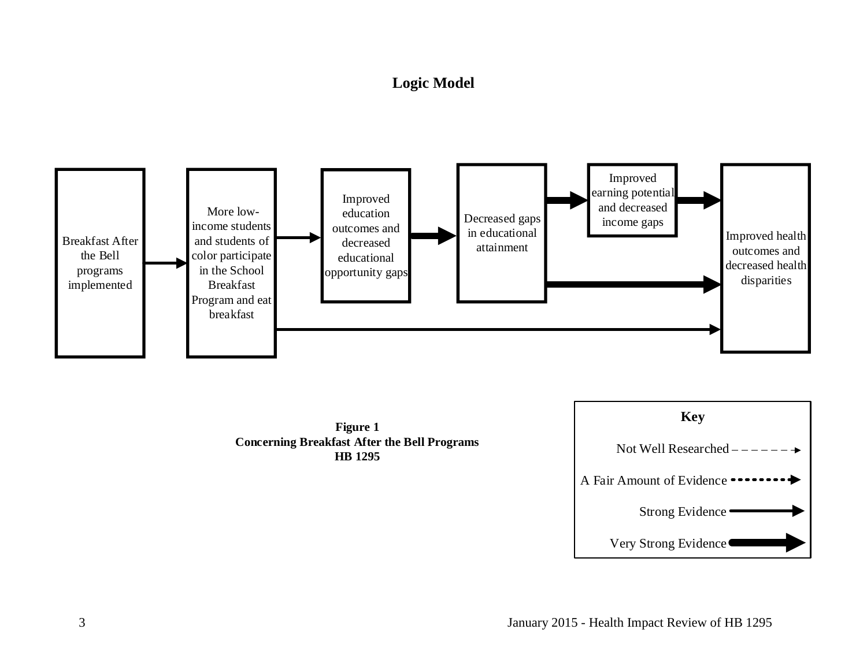## **Logic Model**

<span id="page-4-0"></span>



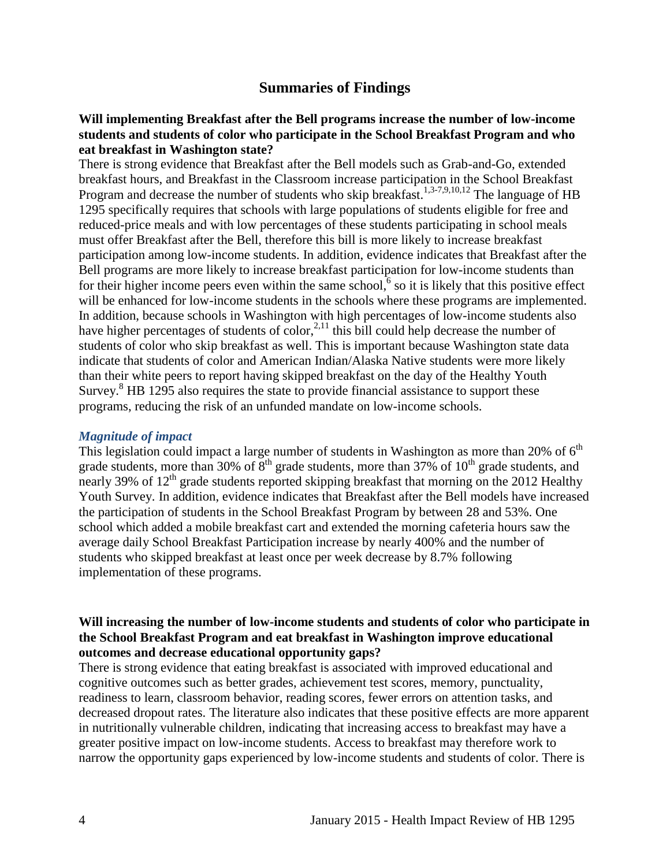## **Summaries of Findings**

#### <span id="page-5-0"></span>**Will implementing Breakfast after the Bell programs increase the number of low-income students and students of color who participate in the School Breakfast Program and who eat breakfast in Washington state?**

There is strong evidence that Breakfast after the Bell models such as Grab-and-Go, extended breakfast hours, and Breakfast in the Classroom increase participation in the School Breakfast Program and decrease the number of students who skip breakfast.<sup>[1](#page-8-1)[,3-7](#page-8-2)[,9](#page-10-0)[,10](#page-11-1)[,12](#page-11-0)</sup> The language of HB 1295 specifically requires that schools with large populations of students eligible for free and reduced-price meals and with low percentages of these students participating in school meals must offer Breakfast after the Bell, therefore this bill is more likely to increase breakfast participation among low-income students. In addition, evidence indicates that Breakfast after the Bell programs are more likely to increase breakfast participation for low-income students than for their higher income peers even within the same school[,](#page-9-0) $6$  so it is likely that this positive effect will be enhanced for low-income students in the schools where these programs are implemented. In addition, because schools in Washington with high percentages of low-income students also have higher percentages of students of color, $^{2,11}$  $^{2,11}$  $^{2,11}$  $^{2,11}$  this bill could help decrease the number of students of color who skip breakfast as well. This is important because Washington state data indicate that students of color and American Indian/Alaska Native students were more likely than their white peers to report having skipped breakfast on the day of the Healthy Youth Survey.<sup>[8](#page-10-1)</sup> HB 1295 also requires the state to provide financial assistance to support these programs, reducing the risk of an unfunded mandate on low-income schools.

#### *Magnitude of impact*

This legislation could impact a large number of students in Washington as more than 20% of  $6<sup>th</sup>$ grade students, more than 30% of  $8<sup>th</sup>$  grade students, more than 37% of 10<sup>th</sup> grade students, and nearly 39% of  $12<sup>th</sup>$  grade students reported skipping breakfast that morning on the 2012 Healthy Youth Survey. In addition, evidence indicates that Breakfast after the Bell models have increased the participation of students in the School Breakfast Program by between 28 and 53%. One school which added a mobile breakfast cart and extended the morning cafeteria hours saw the average daily School Breakfast Participation increase by nearly 400% and the number of students who skipped breakfast at least once per week decrease by 8.7% following implementation of these programs.

#### **Will increasing the number of low-income students and students of color who participate in the School Breakfast Program and eat breakfast in Washington improve educational outcomes and decrease educational opportunity gaps?**

There is strong evidence that eating breakfast is associated with improved educational and cognitive outcomes such as better grades, achievement test scores, memory, punctuality, readiness to learn, classroom behavior, reading scores, fewer errors on attention tasks, and decreased dropout rates. The literature also indicates that these positive effects are more apparent in nutritionally vulnerable children, indicating that increasing access to breakfast may have a greater positive impact on low-income students. Access to breakfast may therefore work to narrow the opportunity gaps experienced by low-income students and students of color. There is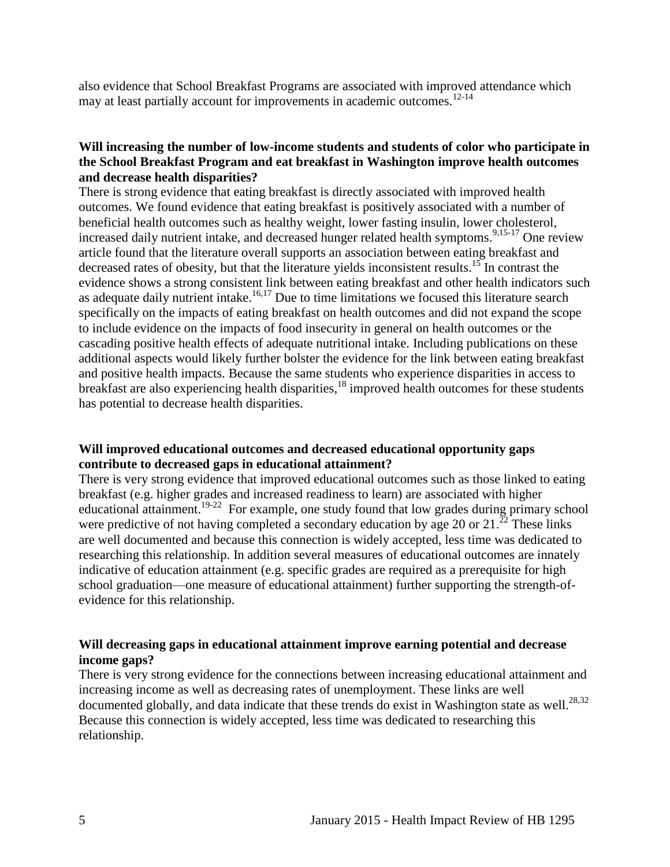also evidence that School Breakfast Programs are associated with improved attendance which may at least partially account for improvements in academic outcomes.<sup>[12-14](#page-11-0)</sup>

#### **Will increasing the number of low-income students and students of color who participate in the School Breakfast Program and eat breakfast in Washington improve health outcomes and decrease health disparities?**

There is strong evidence that eating breakfast is directly associated with improved health outcomes. We found evidence that eating breakfast is positively associated with a number of beneficial health outcomes such as healthy weight, lower fasting insulin, lower cholesterol, increased daily nutrient intake, and decreased hunger related health symptoms.<sup>[9](#page-10-0)[,15-17](#page-13-0)</sup> One review article found that the literature overall supports an association between eating breakfast and decreased rates of obesity, but that the literature yields inconsistent results.<sup>[15](#page-13-0)</sup> In contrast the evidence shows a strong consistent link between eating breakfast and other health indicators such as adequate daily nutrient intake.<sup>[16,](#page-13-1)[17](#page-14-1)</sup> Due to time limitations we focused this literature search specifically on the impacts of eating breakfast on health outcomes and did not expand the scope to include evidence on the impacts of food insecurity in general on health outcomes or the cascading positive health effects of adequate nutritional intake. Including publications on these additional aspects would likely further bolster the evidence for the link between eating breakfast and positive health impacts. Because the same students who experience disparities in access to breakfast are also experiencing health disparities,  $^{18}$  $^{18}$  $^{18}$  improved health outcomes for these students has potential to decrease health disparities.

#### **Will improved educational outcomes and decreased educational opportunity gaps contribute to decreased gaps in educational attainment?**

There is very strong evidence that improved educational outcomes such as those linked to eating breakfast (e.g. higher grades and increased readiness to learn) are associated with higher educational attainment.<sup>[19-22](#page-15-0)</sup> For example, one study found that low grades during primary school were predictive of not having completed a secondary education by age 20 or  $21.^{22}$  $21.^{22}$  $21.^{22}$  These links are well documented and because this connection is widely accepted, less time was dedicated to researching this relationship. In addition several measures of educational outcomes are innately indicative of education attainment (e.g. specific grades are required as a prerequisite for high school graduation—one measure of educational attainment) further supporting the strength-ofevidence for this relationship.

#### **Will decreasing gaps in educational attainment improve earning potential and decrease income gaps?**

There is very strong evidence for the connections between increasing educational attainment and increasing income as well as decreasing rates of unemployment. These links are well documented globally, and data indicate that these trends do exist in Washington state as well.<sup>[28](#page-16-0)[,32](#page-17-0)</sup> Because this connection is widely accepted, less time was dedicated to researching this relationship.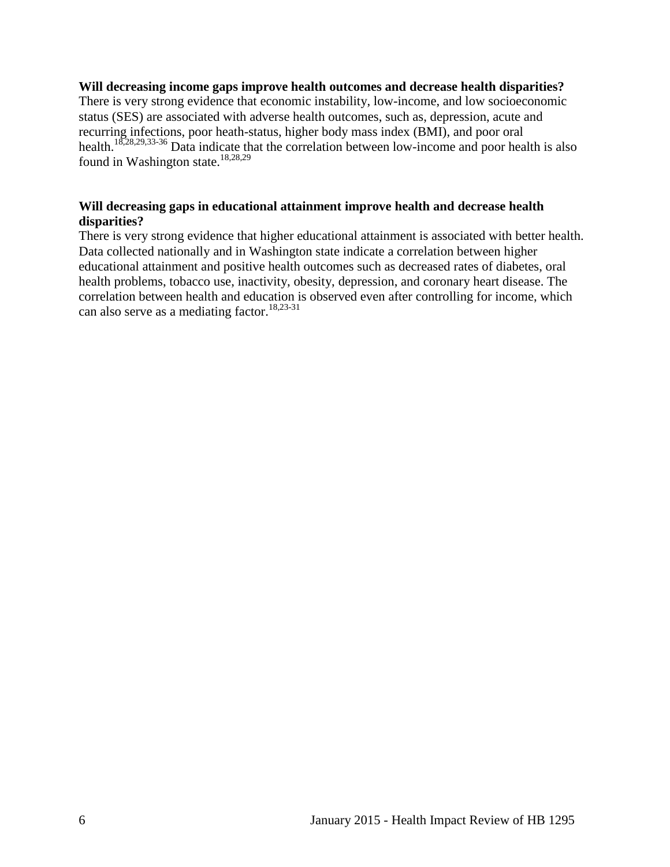#### **Will decreasing income gaps improve health outcomes and decrease health disparities?**

There is very strong evidence that economic instability, low-income, and low socioeconomic status (SES) are associated with adverse health outcomes, such as, depression, acute and recurring infections, poor heath-status, higher body mass index (BMI), and poor oral health.<sup>[18,](#page-14-0)[28,](#page-16-0)[29,](#page-17-1)[33-36](#page-17-2)</sup> Data indicate that the correlation between low-income and poor health is also found in Washington state.<sup>[18,](#page-14-0)[28,](#page-16-0)[29](#page-17-1)</sup>

#### **Will decreasing gaps in educational attainment improve health and decrease health disparities?**

There is very strong evidence that higher educational attainment is associated with better health. Data collected nationally and in Washington state indicate a correlation between higher educational attainment and positive health outcomes such as decreased rates of diabetes, oral health problems, tobacco use, inactivity, obesity, depression, and coronary heart disease. The correlation between health and education is observed even after controlling for income, which can also serve as a mediating factor.<sup>[18,](#page-14-0)[23-31](#page-15-1)</sup>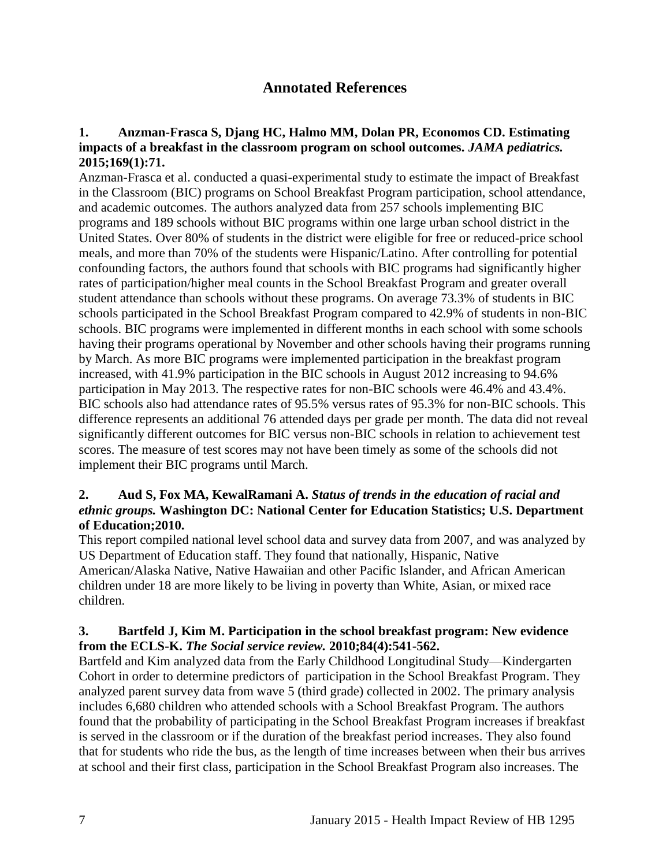## **Annotated References**

#### <span id="page-8-1"></span><span id="page-8-0"></span>**1. Anzman-Frasca S, Djang HC, Halmo MM, Dolan PR, Economos CD. Estimating impacts of a breakfast in the classroom program on school outcomes.** *JAMA pediatrics.*  **2015;169(1):71.**

Anzman-Frasca et al. conducted a quasi-experimental study to estimate the impact of Breakfast in the Classroom (BIC) programs on School Breakfast Program participation, school attendance, and academic outcomes. The authors analyzed data from 257 schools implementing BIC programs and 189 schools without BIC programs within one large urban school district in the United States. Over 80% of students in the district were eligible for free or reduced-price school meals, and more than 70% of the students were Hispanic/Latino. After controlling for potential confounding factors, the authors found that schools with BIC programs had significantly higher rates of participation/higher meal counts in the School Breakfast Program and greater overall student attendance than schools without these programs. On average 73.3% of students in BIC schools participated in the School Breakfast Program compared to 42.9% of students in non-BIC schools. BIC programs were implemented in different months in each school with some schools having their programs operational by November and other schools having their programs running by March. As more BIC programs were implemented participation in the breakfast program increased, with 41.9% participation in the BIC schools in August 2012 increasing to 94.6% participation in May 2013. The respective rates for non-BIC schools were 46.4% and 43.4%. BIC schools also had attendance rates of 95.5% versus rates of 95.3% for non-BIC schools. This difference represents an additional 76 attended days per grade per month. The data did not reveal significantly different outcomes for BIC versus non-BIC schools in relation to achievement test scores. The measure of test scores may not have been timely as some of the schools did not implement their BIC programs until March.

#### <span id="page-8-3"></span>**2. Aud S, Fox MA, KewalRamani A.** *Status of trends in the education of racial and ethnic groups.* **Washington DC: National Center for Education Statistics; U.S. Department of Education;2010.**

This report compiled national level school data and survey data from 2007, and was analyzed by US Department of Education staff. They found that nationally, Hispanic, Native American/Alaska Native, Native Hawaiian and other Pacific Islander, and African American children under 18 are more likely to be living in poverty than White, Asian, or mixed race children.

#### <span id="page-8-2"></span>**3. Bartfeld J, Kim M. Participation in the school breakfast program: New evidence from the ECLS-K.** *The Social service review.* **2010;84(4):541-562.**

Bartfeld and Kim analyzed data from the Early Childhood Longitudinal Study—Kindergarten Cohort in order to determine predictors of participation in the School Breakfast Program. They analyzed parent survey data from wave 5 (third grade) collected in 2002. The primary analysis includes 6,680 children who attended schools with a School Breakfast Program. The authors found that the probability of participating in the School Breakfast Program increases if breakfast is served in the classroom or if the duration of the breakfast period increases. They also found that for students who ride the bus, as the length of time increases between when their bus arrives at school and their first class, participation in the School Breakfast Program also increases. The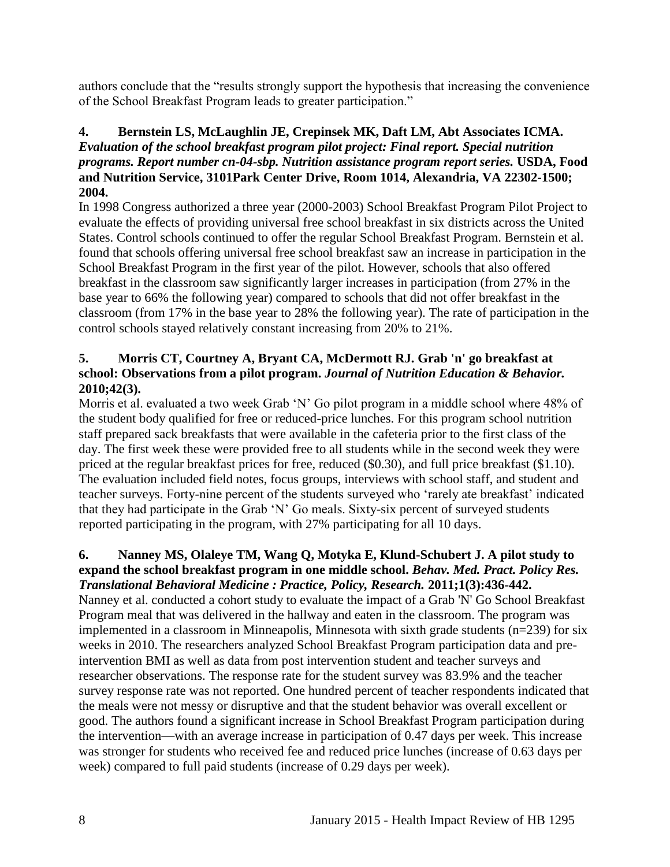authors conclude that the "results strongly support the hypothesis that increasing the convenience of the School Breakfast Program leads to greater participation."

## **4. Bernstein LS, McLaughlin JE, Crepinsek MK, Daft LM, Abt Associates ICMA.**  *Evaluation of the school breakfast program pilot project: Final report. Special nutrition programs. Report number cn-04-sbp. Nutrition assistance program report series.* **USDA, Food and Nutrition Service, 3101Park Center Drive, Room 1014, Alexandria, VA 22302-1500; 2004.**

In 1998 Congress authorized a three year (2000-2003) School Breakfast Program Pilot Project to evaluate the effects of providing universal free school breakfast in six districts across the United States. Control schools continued to offer the regular School Breakfast Program. Bernstein et al. found that schools offering universal free school breakfast saw an increase in participation in the School Breakfast Program in the first year of the pilot. However, schools that also offered breakfast in the classroom saw significantly larger increases in participation (from 27% in the base year to 66% the following year) compared to schools that did not offer breakfast in the classroom (from 17% in the base year to 28% the following year). The rate of participation in the control schools stayed relatively constant increasing from 20% to 21%.

## **5. Morris CT, Courtney A, Bryant CA, McDermott RJ. Grab 'n' go breakfast at school: Observations from a pilot program.** *Journal of Nutrition Education & Behavior.*  **2010;42(3).**

Morris et al. evaluated a two week Grab 'N' Go pilot program in a middle school where 48% of the student body qualified for free or reduced-price lunches. For this program school nutrition staff prepared sack breakfasts that were available in the cafeteria prior to the first class of the day. The first week these were provided free to all students while in the second week they were priced at the regular breakfast prices for free, reduced (\$0.30), and full price breakfast (\$1.10). The evaluation included field notes, focus groups, interviews with school staff, and student and teacher surveys. Forty-nine percent of the students surveyed who 'rarely ate breakfast' indicated that they had participate in the Grab 'N' Go meals. Sixty-six percent of surveyed students reported participating in the program, with 27% participating for all 10 days.

#### <span id="page-9-0"></span>**6. Nanney MS, Olaleye TM, Wang Q, Motyka E, Klund-Schubert J. A pilot study to expand the school breakfast program in one middle school.** *Behav. Med. Pract. Policy Res. Translational Behavioral Medicine : Practice, Policy, Research.* **2011;1(3):436-442.**

Nanney et al. conducted a cohort study to evaluate the impact of a Grab 'N' Go School Breakfast Program meal that was delivered in the hallway and eaten in the classroom. The program was implemented in a classroom in Minneapolis, Minnesota with sixth grade students (n=239) for six weeks in 2010. The researchers analyzed School Breakfast Program participation data and preintervention BMI as well as data from post intervention student and teacher surveys and researcher observations. The response rate for the student survey was 83.9% and the teacher survey response rate was not reported. One hundred percent of teacher respondents indicated that the meals were not messy or disruptive and that the student behavior was overall excellent or good. The authors found a significant increase in School Breakfast Program participation during the intervention—with an average increase in participation of 0.47 days per week. This increase was stronger for students who received fee and reduced price lunches (increase of 0.63 days per week) compared to full paid students (increase of 0.29 days per week).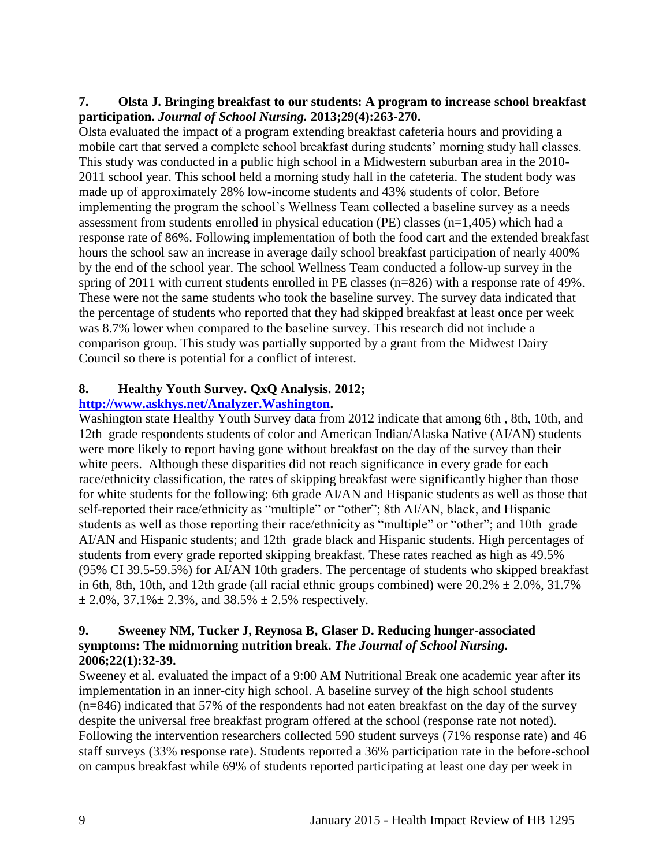### **7. Olsta J. Bringing breakfast to our students: A program to increase school breakfast participation.** *Journal of School Nursing.* **2013;29(4):263-270.**

Olsta evaluated the impact of a program extending breakfast cafeteria hours and providing a mobile cart that served a complete school breakfast during students' morning study hall classes. This study was conducted in a public high school in a Midwestern suburban area in the 2010- 2011 school year. This school held a morning study hall in the cafeteria. The student body was made up of approximately 28% low-income students and 43% students of color. Before implementing the program the school's Wellness Team collected a baseline survey as a needs assessment from students enrolled in physical education (PE) classes (n=1,405) which had a response rate of 86%. Following implementation of both the food cart and the extended breakfast hours the school saw an increase in average daily school breakfast participation of nearly 400% by the end of the school year. The school Wellness Team conducted a follow-up survey in the spring of 2011 with current students enrolled in PE classes (n=826) with a response rate of 49%. These were not the same students who took the baseline survey. The survey data indicated that the percentage of students who reported that they had skipped breakfast at least once per week was 8.7% lower when compared to the baseline survey. This research did not include a comparison group. This study was partially supported by a grant from the Midwest Dairy Council so there is potential for a conflict of interest.

## <span id="page-10-1"></span>**8. Healthy Youth Survey. QxQ Analysis. 2012;**

## **[http://www.askhys.net/Analyzer.Washington.](http://www.askhys.net/Analyzer.Washington)**

Washington state Healthy Youth Survey data from 2012 indicate that among 6th , 8th, 10th, and 12th grade respondents students of color and American Indian/Alaska Native (AI/AN) students were more likely to report having gone without breakfast on the day of the survey than their white peers. Although these disparities did not reach significance in every grade for each race/ethnicity classification, the rates of skipping breakfast were significantly higher than those for white students for the following: 6th grade AI/AN and Hispanic students as well as those that self-reported their race/ethnicity as "multiple" or "other"; 8th AI/AN, black, and Hispanic students as well as those reporting their race/ethnicity as "multiple" or "other"; and 10th grade AI/AN and Hispanic students; and 12th grade black and Hispanic students. High percentages of students from every grade reported skipping breakfast. These rates reached as high as 49.5% (95% CI 39.5-59.5%) for AI/AN 10th graders. The percentage of students who skipped breakfast in 6th, 8th, 10th, and 12th grade (all racial ethnic groups combined) were  $20.2% \pm 2.0%$ , 31.7%  $\pm 2.0\%$ , 37.1% $\pm 2.3\%$ , and 38.5%  $\pm 2.5\%$  respectively.

#### <span id="page-10-0"></span>**9. Sweeney NM, Tucker J, Reynosa B, Glaser D. Reducing hunger-associated symptoms: The midmorning nutrition break.** *The Journal of School Nursing.*  **2006;22(1):32-39.**

Sweeney et al. evaluated the impact of a 9:00 AM Nutritional Break one academic year after its implementation in an inner-city high school. A baseline survey of the high school students (n=846) indicated that 57% of the respondents had not eaten breakfast on the day of the survey despite the universal free breakfast program offered at the school (response rate not noted). Following the intervention researchers collected 590 student surveys (71% response rate) and 46 staff surveys (33% response rate). Students reported a 36% participation rate in the before-school on campus breakfast while 69% of students reported participating at least one day per week in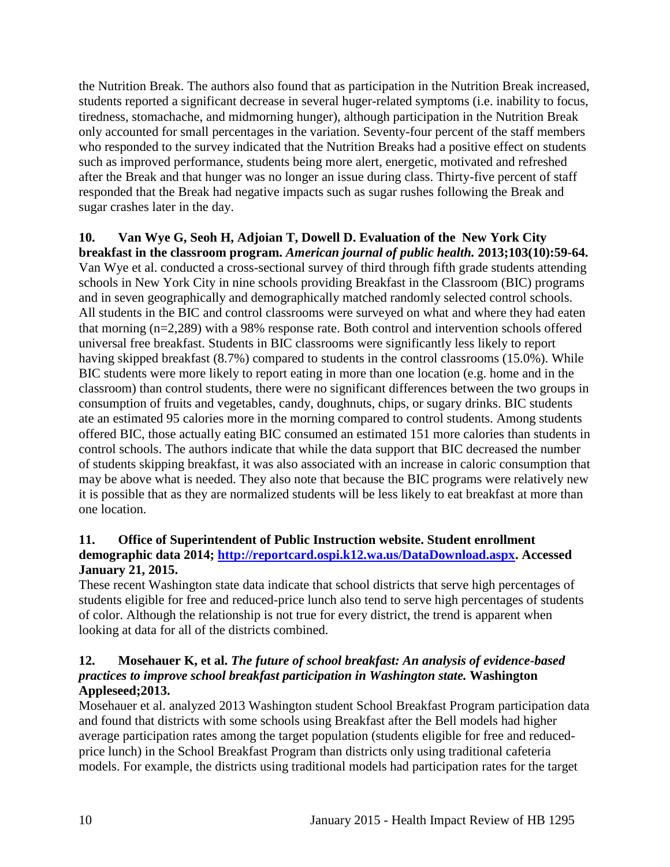the Nutrition Break. The authors also found that as participation in the Nutrition Break increased, students reported a significant decrease in several huger-related symptoms (i.e. inability to focus, tiredness, stomachache, and midmorning hunger), although participation in the Nutrition Break only accounted for small percentages in the variation. Seventy-four percent of the staff members who responded to the survey indicated that the Nutrition Breaks had a positive effect on students such as improved performance, students being more alert, energetic, motivated and refreshed after the Break and that hunger was no longer an issue during class. Thirty-five percent of staff responded that the Break had negative impacts such as sugar rushes following the Break and sugar crashes later in the day.

#### <span id="page-11-1"></span>**10. Van Wye G, Seoh H, Adjoian T, Dowell D. Evaluation of the New York City breakfast in the classroom program.** *American journal of public health.* **2013;103(10):59-64.**

Van Wye et al. conducted a cross-sectional survey of third through fifth grade students attending schools in New York City in nine schools providing Breakfast in the Classroom (BIC) programs and in seven geographically and demographically matched randomly selected control schools. All students in the BIC and control classrooms were surveyed on what and where they had eaten that morning (n=2,289) with a 98% response rate. Both control and intervention schools offered universal free breakfast. Students in BIC classrooms were significantly less likely to report having skipped breakfast (8.7%) compared to students in the control classrooms (15.0%). While BIC students were more likely to report eating in more than one location (e.g. home and in the classroom) than control students, there were no significant differences between the two groups in consumption of fruits and vegetables, candy, doughnuts, chips, or sugary drinks. BIC students ate an estimated 95 calories more in the morning compared to control students. Among students offered BIC, those actually eating BIC consumed an estimated 151 more calories than students in control schools. The authors indicate that while the data support that BIC decreased the number of students skipping breakfast, it was also associated with an increase in caloric consumption that may be above what is needed. They also note that because the BIC programs were relatively new it is possible that as they are normalized students will be less likely to eat breakfast at more than one location.

#### <span id="page-11-2"></span>**11. Office of Superintendent of Public Instruction website. Student enrollment demographic data 2014; [http://reportcard.ospi.k12.wa.us/DataDownload.aspx.](http://reportcard.ospi.k12.wa.us/DataDownload.aspx) Accessed January 21, 2015.**

These recent Washington state data indicate that school districts that serve high percentages of students eligible for free and reduced-price lunch also tend to serve high percentages of students of color. Although the relationship is not true for every district, the trend is apparent when looking at data for all of the districts combined.

## <span id="page-11-0"></span>**12. Mosehauer K, et al.** *The future of school breakfast: An analysis of evidence-based practices to improve school breakfast participation in Washington state.* **Washington Appleseed;2013.**

Mosehauer et al. analyzed 2013 Washington student School Breakfast Program participation data and found that districts with some schools using Breakfast after the Bell models had higher average participation rates among the target population (students eligible for free and reducedprice lunch) in the School Breakfast Program than districts only using traditional cafeteria models. For example, the districts using traditional models had participation rates for the target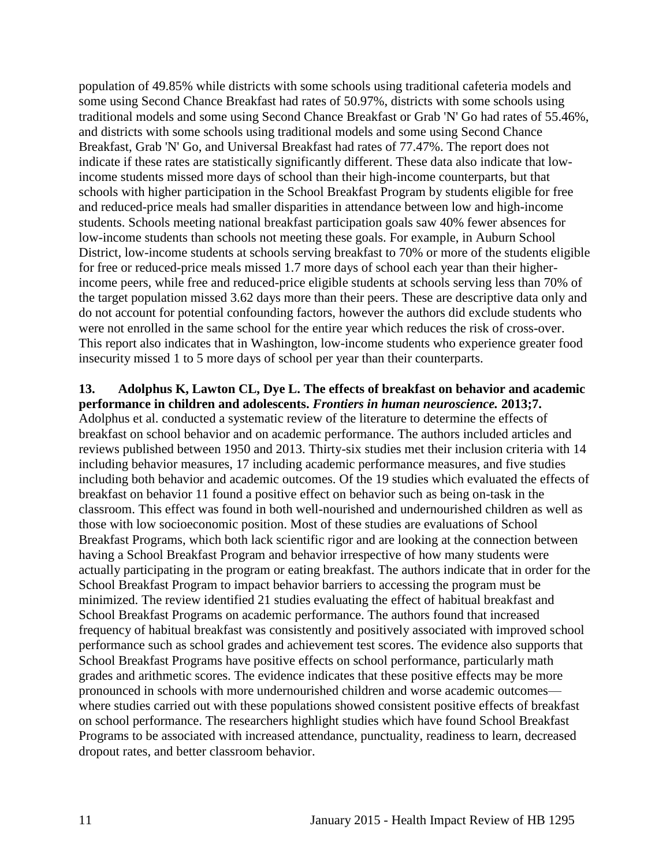population of 49.85% while districts with some schools using traditional cafeteria models and some using Second Chance Breakfast had rates of 50.97%, districts with some schools using traditional models and some using Second Chance Breakfast or Grab 'N' Go had rates of 55.46%, and districts with some schools using traditional models and some using Second Chance Breakfast, Grab 'N' Go, and Universal Breakfast had rates of 77.47%. The report does not indicate if these rates are statistically significantly different. These data also indicate that lowincome students missed more days of school than their high-income counterparts, but that schools with higher participation in the School Breakfast Program by students eligible for free and reduced-price meals had smaller disparities in attendance between low and high-income students. Schools meeting national breakfast participation goals saw 40% fewer absences for low-income students than schools not meeting these goals. For example, in Auburn School District, low-income students at schools serving breakfast to 70% or more of the students eligible for free or reduced-price meals missed 1.7 more days of school each year than their higherincome peers, while free and reduced-price eligible students at schools serving less than 70% of the target population missed 3.62 days more than their peers. These are descriptive data only and do not account for potential confounding factors, however the authors did exclude students who were not enrolled in the same school for the entire year which reduces the risk of cross-over. This report also indicates that in Washington, low-income students who experience greater food insecurity missed 1 to 5 more days of school per year than their counterparts.

#### **13. Adolphus K, Lawton CL, Dye L. The effects of breakfast on behavior and academic performance in children and adolescents.** *Frontiers in human neuroscience.* **2013;7.**

Adolphus et al. conducted a systematic review of the literature to determine the effects of breakfast on school behavior and on academic performance. The authors included articles and reviews published between 1950 and 2013. Thirty-six studies met their inclusion criteria with 14 including behavior measures, 17 including academic performance measures, and five studies including both behavior and academic outcomes. Of the 19 studies which evaluated the effects of breakfast on behavior 11 found a positive effect on behavior such as being on-task in the classroom. This effect was found in both well-nourished and undernourished children as well as those with low socioeconomic position. Most of these studies are evaluations of School Breakfast Programs, which both lack scientific rigor and are looking at the connection between having a School Breakfast Program and behavior irrespective of how many students were actually participating in the program or eating breakfast. The authors indicate that in order for the School Breakfast Program to impact behavior barriers to accessing the program must be minimized. The review identified 21 studies evaluating the effect of habitual breakfast and School Breakfast Programs on academic performance. The authors found that increased frequency of habitual breakfast was consistently and positively associated with improved school performance such as school grades and achievement test scores. The evidence also supports that School Breakfast Programs have positive effects on school performance, particularly math grades and arithmetic scores. The evidence indicates that these positive effects may be more pronounced in schools with more undernourished children and worse academic outcomes where studies carried out with these populations showed consistent positive effects of breakfast on school performance. The researchers highlight studies which have found School Breakfast Programs to be associated with increased attendance, punctuality, readiness to learn, decreased dropout rates, and better classroom behavior.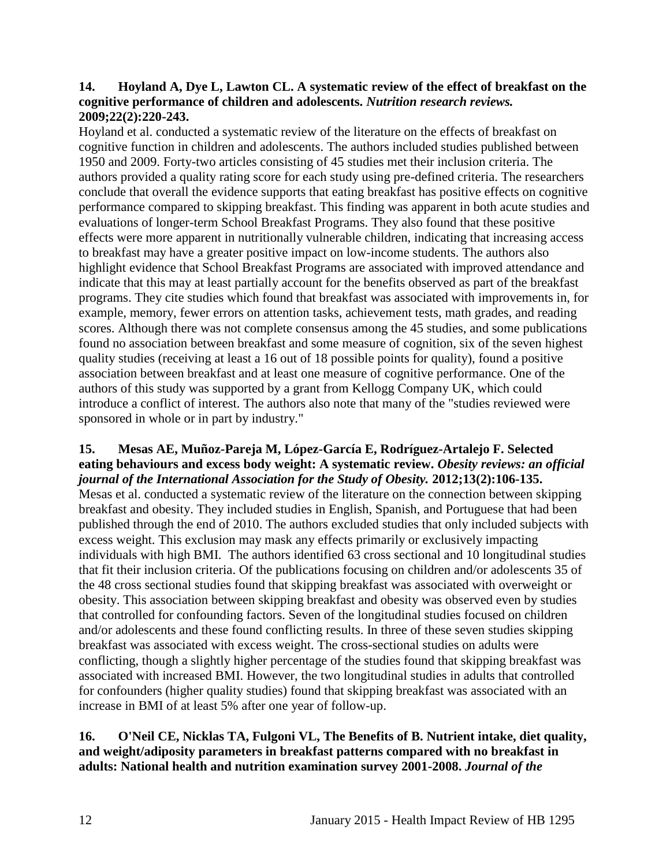#### **14. Hoyland A, Dye L, Lawton CL. A systematic review of the effect of breakfast on the cognitive performance of children and adolescents.** *Nutrition research reviews.*  **2009;22(2):220-243.**

Hoyland et al. conducted a systematic review of the literature on the effects of breakfast on cognitive function in children and adolescents. The authors included studies published between 1950 and 2009. Forty-two articles consisting of 45 studies met their inclusion criteria. The authors provided a quality rating score for each study using pre-defined criteria. The researchers conclude that overall the evidence supports that eating breakfast has positive effects on cognitive performance compared to skipping breakfast. This finding was apparent in both acute studies and evaluations of longer-term School Breakfast Programs. They also found that these positive effects were more apparent in nutritionally vulnerable children, indicating that increasing access to breakfast may have a greater positive impact on low-income students. The authors also highlight evidence that School Breakfast Programs are associated with improved attendance and indicate that this may at least partially account for the benefits observed as part of the breakfast programs. They cite studies which found that breakfast was associated with improvements in, for example, memory, fewer errors on attention tasks, achievement tests, math grades, and reading scores. Although there was not complete consensus among the 45 studies, and some publications found no association between breakfast and some measure of cognition, six of the seven highest quality studies (receiving at least a 16 out of 18 possible points for quality), found a positive association between breakfast and at least one measure of cognitive performance. One of the authors of this study was supported by a grant from Kellogg Company UK, which could introduce a conflict of interest. The authors also note that many of the "studies reviewed were sponsored in whole or in part by industry."

#### <span id="page-13-0"></span>**15. Mesas AE, Muñoz-Pareja M, López-García E, Rodríguez-Artalejo F. Selected eating behaviours and excess body weight: A systematic review.** *Obesity reviews: an official journal of the International Association for the Study of Obesity.* **2012;13(2):106-135.**

Mesas et al. conducted a systematic review of the literature on the connection between skipping breakfast and obesity. They included studies in English, Spanish, and Portuguese that had been published through the end of 2010. The authors excluded studies that only included subjects with excess weight. This exclusion may mask any effects primarily or exclusively impacting individuals with high BMI. The authors identified 63 cross sectional and 10 longitudinal studies that fit their inclusion criteria. Of the publications focusing on children and/or adolescents 35 of the 48 cross sectional studies found that skipping breakfast was associated with overweight or obesity. This association between skipping breakfast and obesity was observed even by studies that controlled for confounding factors. Seven of the longitudinal studies focused on children and/or adolescents and these found conflicting results. In three of these seven studies skipping breakfast was associated with excess weight. The cross-sectional studies on adults were conflicting, though a slightly higher percentage of the studies found that skipping breakfast was associated with increased BMI. However, the two longitudinal studies in adults that controlled for confounders (higher quality studies) found that skipping breakfast was associated with an increase in BMI of at least 5% after one year of follow-up.

### <span id="page-13-1"></span>**16. O'Neil CE, Nicklas TA, Fulgoni VL, The Benefits of B. Nutrient intake, diet quality, and weight/adiposity parameters in breakfast patterns compared with no breakfast in adults: National health and nutrition examination survey 2001-2008.** *Journal of the*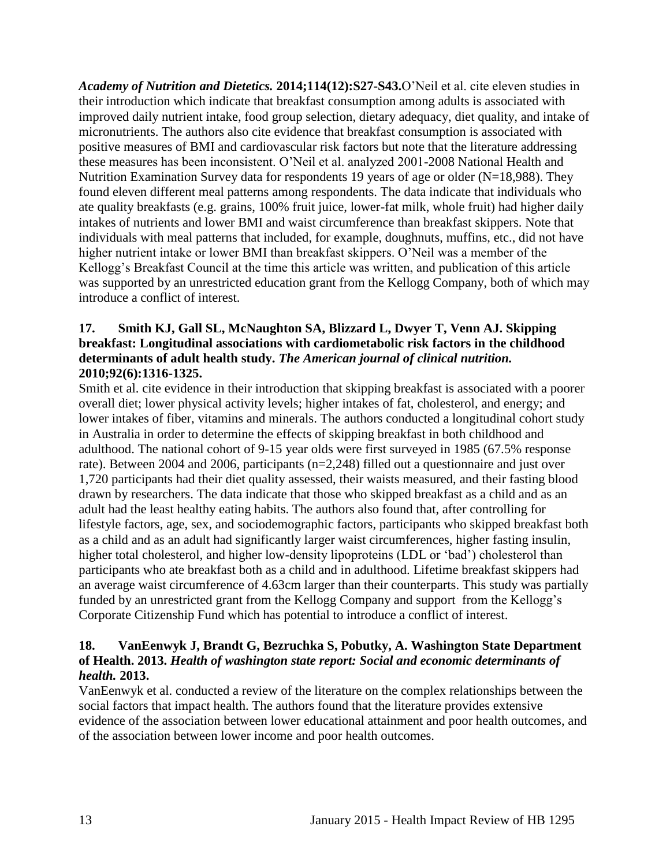*Academy of Nutrition and Dietetics.* **2014;114(12):S27-S43.**O'Neil et al. cite eleven studies in their introduction which indicate that breakfast consumption among adults is associated with improved daily nutrient intake, food group selection, dietary adequacy, diet quality, and intake of micronutrients. The authors also cite evidence that breakfast consumption is associated with positive measures of BMI and cardiovascular risk factors but note that the literature addressing these measures has been inconsistent. O'Neil et al. analyzed 2001-2008 National Health and Nutrition Examination Survey data for respondents 19 years of age or older (N=18,988). They found eleven different meal patterns among respondents. The data indicate that individuals who ate quality breakfasts (e.g. grains, 100% fruit juice, lower-fat milk, whole fruit) had higher daily intakes of nutrients and lower BMI and waist circumference than breakfast skippers. Note that individuals with meal patterns that included, for example, doughnuts, muffins, etc., did not have higher nutrient intake or lower BMI than breakfast skippers. O'Neil was a member of the Kellogg's Breakfast Council at the time this article was written, and publication of this article was supported by an unrestricted education grant from the Kellogg Company, both of which may introduce a conflict of interest.

#### <span id="page-14-1"></span>**17. Smith KJ, Gall SL, McNaughton SA, Blizzard L, Dwyer T, Venn AJ. Skipping breakfast: Longitudinal associations with cardiometabolic risk factors in the childhood determinants of adult health study.** *The American journal of clinical nutrition.*  **2010;92(6):1316-1325.**

Smith et al. cite evidence in their introduction that skipping breakfast is associated with a poorer overall diet; lower physical activity levels; higher intakes of fat, cholesterol, and energy; and lower intakes of fiber, vitamins and minerals. The authors conducted a longitudinal cohort study in Australia in order to determine the effects of skipping breakfast in both childhood and adulthood. The national cohort of 9-15 year olds were first surveyed in 1985 (67.5% response rate). Between 2004 and 2006, participants (n=2,248) filled out a questionnaire and just over 1,720 participants had their diet quality assessed, their waists measured, and their fasting blood drawn by researchers. The data indicate that those who skipped breakfast as a child and as an adult had the least healthy eating habits. The authors also found that, after controlling for lifestyle factors, age, sex, and sociodemographic factors, participants who skipped breakfast both as a child and as an adult had significantly larger waist circumferences, higher fasting insulin, higher total cholesterol, and higher low-density lipoproteins (LDL or 'bad') cholesterol than participants who ate breakfast both as a child and in adulthood. Lifetime breakfast skippers had an average waist circumference of 4.63cm larger than their counterparts. This study was partially funded by an unrestricted grant from the Kellogg Company and support from the Kellogg's Corporate Citizenship Fund which has potential to introduce a conflict of interest.

#### <span id="page-14-0"></span>**18. VanEenwyk J, Brandt G, Bezruchka S, Pobutky, A. Washington State Department of Health. 2013.** *Health of washington state report: Social and economic determinants of health.* **2013.**

VanEenwyk et al. conducted a review of the literature on the complex relationships between the social factors that impact health. The authors found that the literature provides extensive evidence of the association between lower educational attainment and poor health outcomes, and of the association between lower income and poor health outcomes.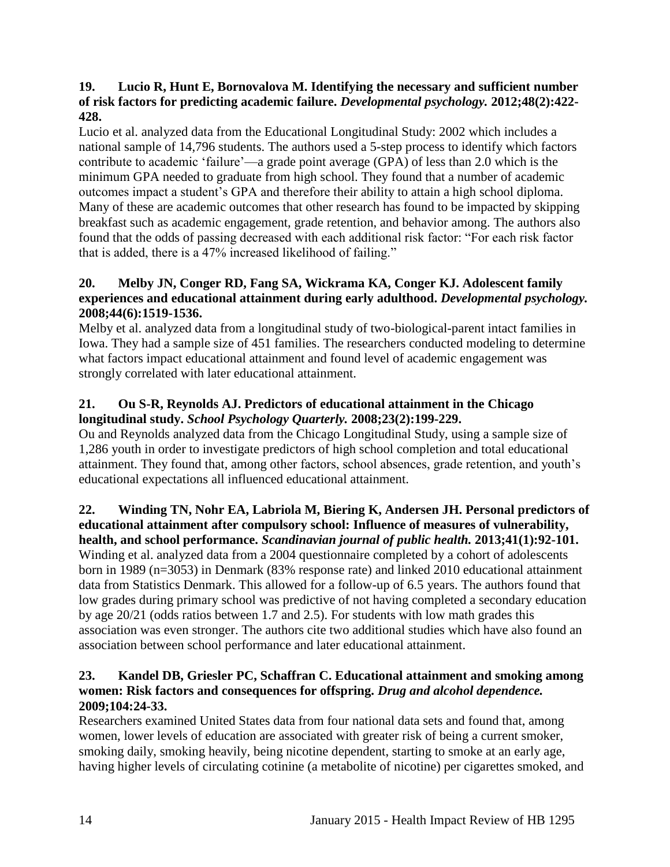### <span id="page-15-0"></span>**19. Lucio R, Hunt E, Bornovalova M. Identifying the necessary and sufficient number of risk factors for predicting academic failure.** *Developmental psychology.* **2012;48(2):422- 428.**

Lucio et al. analyzed data from the Educational Longitudinal Study: 2002 which includes a national sample of 14,796 students. The authors used a 5-step process to identify which factors contribute to academic 'failure'—a grade point average (GPA) of less than 2.0 which is the minimum GPA needed to graduate from high school. They found that a number of academic outcomes impact a student's GPA and therefore their ability to attain a high school diploma. Many of these are academic outcomes that other research has found to be impacted by skipping breakfast such as academic engagement, grade retention, and behavior among. The authors also found that the odds of passing decreased with each additional risk factor: "For each risk factor that is added, there is a 47% increased likelihood of failing."

## **20. Melby JN, Conger RD, Fang SA, Wickrama KA, Conger KJ. Adolescent family experiences and educational attainment during early adulthood.** *Developmental psychology.*  **2008;44(6):1519-1536.**

Melby et al. analyzed data from a longitudinal study of two-biological-parent intact families in Iowa. They had a sample size of 451 families. The researchers conducted modeling to determine what factors impact educational attainment and found level of academic engagement was strongly correlated with later educational attainment.

## **21. Ou S-R, Reynolds AJ. Predictors of educational attainment in the Chicago longitudinal study.** *School Psychology Quarterly.* **2008;23(2):199-229.**

Ou and Reynolds analyzed data from the Chicago Longitudinal Study, using a sample size of 1,286 youth in order to investigate predictors of high school completion and total educational attainment. They found that, among other factors, school absences, grade retention, and youth's educational expectations all influenced educational attainment.

### <span id="page-15-2"></span>**22. Winding TN, Nohr EA, Labriola M, Biering K, Andersen JH. Personal predictors of educational attainment after compulsory school: Influence of measures of vulnerability, health, and school performance.** *Scandinavian journal of public health.* **2013;41(1):92-101.**

Winding et al. analyzed data from a 2004 questionnaire completed by a cohort of adolescents born in 1989 (n=3053) in Denmark (83% response rate) and linked 2010 educational attainment data from Statistics Denmark. This allowed for a follow-up of 6.5 years. The authors found that low grades during primary school was predictive of not having completed a secondary education by age 20/21 (odds ratios between 1.7 and 2.5). For students with low math grades this association was even stronger. The authors cite two additional studies which have also found an association between school performance and later educational attainment.

## <span id="page-15-1"></span>**23. Kandel DB, Griesler PC, Schaffran C. Educational attainment and smoking among women: Risk factors and consequences for offspring.** *Drug and alcohol dependence.*  **2009;104:24-33.**

Researchers examined United States data from four national data sets and found that, among women, lower levels of education are associated with greater risk of being a current smoker, smoking daily, smoking heavily, being nicotine dependent, starting to smoke at an early age, having higher levels of circulating cotinine (a metabolite of nicotine) per cigarettes smoked, and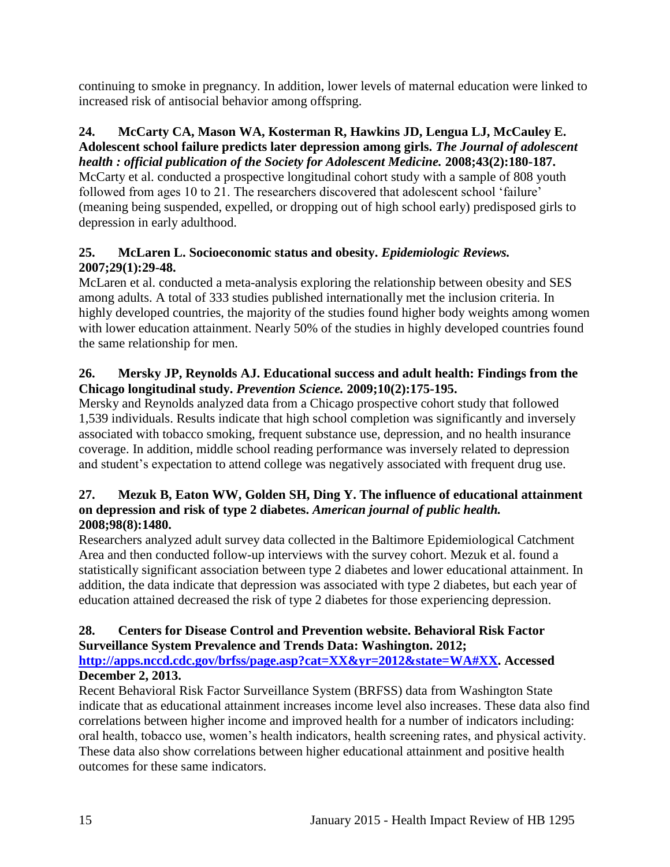continuing to smoke in pregnancy. In addition, lower levels of maternal education were linked to increased risk of antisocial behavior among offspring.

#### **24. McCarty CA, Mason WA, Kosterman R, Hawkins JD, Lengua LJ, McCauley E. Adolescent school failure predicts later depression among girls.** *The Journal of adolescent*

*health : official publication of the Society for Adolescent Medicine.* **2008;43(2):180-187.** McCarty et al. conducted a prospective longitudinal cohort study with a sample of 808 youth followed from ages 10 to 21. The researchers discovered that adolescent school 'failure' (meaning being suspended, expelled, or dropping out of high school early) predisposed girls to depression in early adulthood.

## **25. McLaren L. Socioeconomic status and obesity.** *Epidemiologic Reviews.*  **2007;29(1):29-48.**

McLaren et al. conducted a meta-analysis exploring the relationship between obesity and SES among adults. A total of 333 studies published internationally met the inclusion criteria. In highly developed countries, the majority of the studies found higher body weights among women with lower education attainment. Nearly 50% of the studies in highly developed countries found the same relationship for men.

## **26. Mersky JP, Reynolds AJ. Educational success and adult health: Findings from the Chicago longitudinal study.** *Prevention Science.* **2009;10(2):175-195.**

Mersky and Reynolds analyzed data from a Chicago prospective cohort study that followed 1,539 individuals. Results indicate that high school completion was significantly and inversely associated with tobacco smoking, frequent substance use, depression, and no health insurance coverage. In addition, middle school reading performance was inversely related to depression and student's expectation to attend college was negatively associated with frequent drug use.

## **27. Mezuk B, Eaton WW, Golden SH, Ding Y. The influence of educational attainment on depression and risk of type 2 diabetes.** *American journal of public health.*  **2008;98(8):1480.**

Researchers analyzed adult survey data collected in the Baltimore Epidemiological Catchment Area and then conducted follow-up interviews with the survey cohort. Mezuk et al. found a statistically significant association between type 2 diabetes and lower educational attainment. In addition, the data indicate that depression was associated with type 2 diabetes, but each year of education attained decreased the risk of type 2 diabetes for those experiencing depression.

## <span id="page-16-0"></span>**28. Centers for Disease Control and Prevention website. Behavioral Risk Factor Surveillance System Prevalence and Trends Data: Washington. 2012;**

**[http://apps.nccd.cdc.gov/brfss/page.asp?cat=XX&yr=2012&state=WA#XX.](http://apps.nccd.cdc.gov/brfss/page.asp?cat=XX&yr=2012&state=WA#XX) Accessed December 2, 2013.**

Recent Behavioral Risk Factor Surveillance System (BRFSS) data from Washington State indicate that as educational attainment increases income level also increases. These data also find correlations between higher income and improved health for a number of indicators including: oral health, tobacco use, women's health indicators, health screening rates, and physical activity. These data also show correlations between higher educational attainment and positive health outcomes for these same indicators.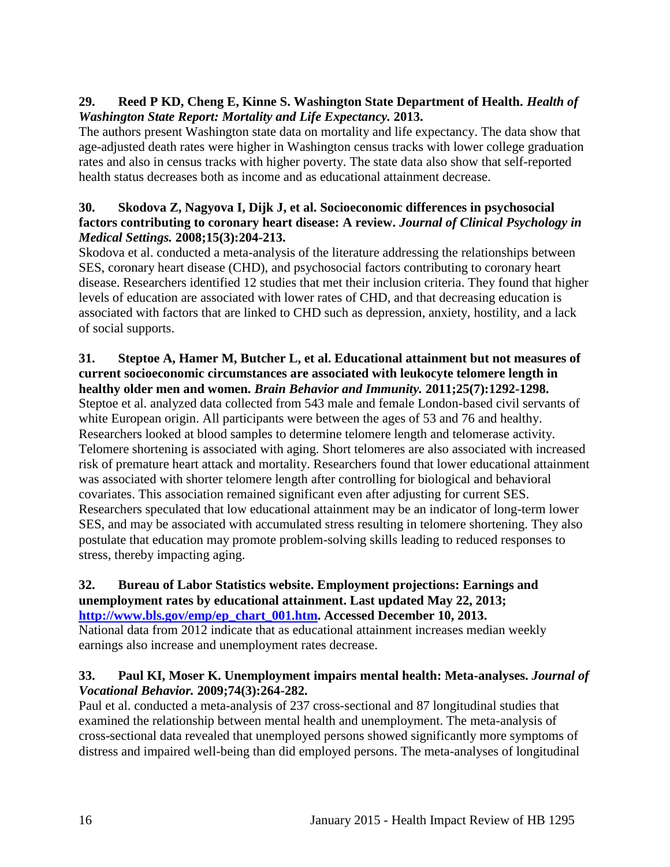## <span id="page-17-1"></span>**29. Reed P KD, Cheng E, Kinne S. Washington State Department of Health.** *Health of Washington State Report: Mortality and Life Expectancy.* **2013.**

The authors present Washington state data on mortality and life expectancy. The data show that age-adjusted death rates were higher in Washington census tracks with lower college graduation rates and also in census tracks with higher poverty. The state data also show that self-reported health status decreases both as income and as educational attainment decrease.

## **30. Skodova Z, Nagyova I, Dijk J, et al. Socioeconomic differences in psychosocial factors contributing to coronary heart disease: A review.** *Journal of Clinical Psychology in Medical Settings.* **2008;15(3):204-213.**

Skodova et al. conducted a meta-analysis of the literature addressing the relationships between SES, coronary heart disease (CHD), and psychosocial factors contributing to coronary heart disease. Researchers identified 12 studies that met their inclusion criteria. They found that higher levels of education are associated with lower rates of CHD, and that decreasing education is associated with factors that are linked to CHD such as depression, anxiety, hostility, and a lack of social supports.

### **31. Steptoe A, Hamer M, Butcher L, et al. Educational attainment but not measures of current socioeconomic circumstances are associated with leukocyte telomere length in healthy older men and women.** *Brain Behavior and Immunity.* **2011;25(7):1292-1298.**

Steptoe et al. analyzed data collected from 543 male and female London-based civil servants of white European origin. All participants were between the ages of 53 and 76 and healthy. Researchers looked at blood samples to determine telomere length and telomerase activity. Telomere shortening is associated with aging. Short telomeres are also associated with increased risk of premature heart attack and mortality. Researchers found that lower educational attainment was associated with shorter telomere length after controlling for biological and behavioral covariates. This association remained significant even after adjusting for current SES. Researchers speculated that low educational attainment may be an indicator of long-term lower SES, and may be associated with accumulated stress resulting in telomere shortening. They also postulate that education may promote problem-solving skills leading to reduced responses to stress, thereby impacting aging.

## <span id="page-17-0"></span>**32. Bureau of Labor Statistics website. Employment projections: Earnings and unemployment rates by educational attainment. Last updated May 22, 2013;**

**[http://www.bls.gov/emp/ep\\_chart\\_001.htm.](http://www.bls.gov/emp/ep_chart_001.htm) Accessed December 10, 2013.** National data from 2012 indicate that as educational attainment increases median weekly earnings also increase and unemployment rates decrease.

## <span id="page-17-2"></span>**33. Paul KI, Moser K. Unemployment impairs mental health: Meta-analyses.** *Journal of Vocational Behavior.* **2009;74(3):264-282.**

Paul et al. conducted a meta-analysis of 237 cross-sectional and 87 longitudinal studies that examined the relationship between mental health and unemployment. The meta-analysis of cross-sectional data revealed that unemployed persons showed significantly more symptoms of distress and impaired well-being than did employed persons. The meta-analyses of longitudinal